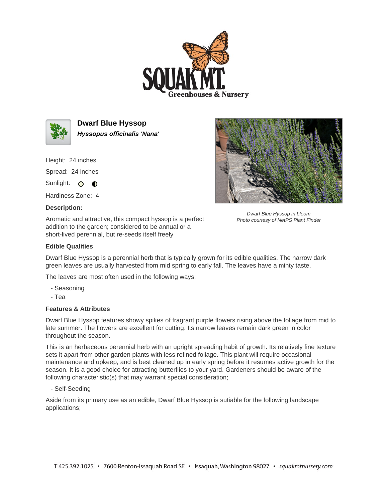



**Dwarf Blue Hyssop Hyssopus officinalis 'Nana'**

Height: 24 inches

Spread: 24 inches

Sunlight: O **O** 

Hardiness Zone: 4

## **Description:**

Aromatic and attractive, this compact hyssop is a perfect addition to the garden; considered to be annual or a short-lived perennial, but re-seeds itself freely



Dwarf Blue Hyssop in bloom Photo courtesy of NetPS Plant Finder

## **Edible Qualities**

Dwarf Blue Hyssop is a perennial herb that is typically grown for its edible qualities. The narrow dark green leaves are usually harvested from mid spring to early fall. The leaves have a minty taste.

The leaves are most often used in the following ways:

- Seasoning

- Tea

## **Features & Attributes**

Dwarf Blue Hyssop features showy spikes of fragrant purple flowers rising above the foliage from mid to late summer. The flowers are excellent for cutting. Its narrow leaves remain dark green in color throughout the season.

This is an herbaceous perennial herb with an upright spreading habit of growth. Its relatively fine texture sets it apart from other garden plants with less refined foliage. This plant will require occasional maintenance and upkeep, and is best cleaned up in early spring before it resumes active growth for the season. It is a good choice for attracting butterflies to your yard. Gardeners should be aware of the following characteristic(s) that may warrant special consideration;

- Self-Seeding

Aside from its primary use as an edible, Dwarf Blue Hyssop is sutiable for the following landscape applications;